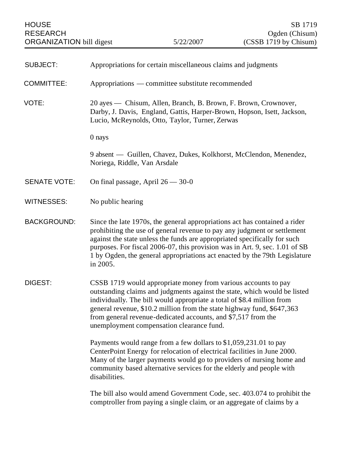| <b>SUBJECT:</b>     | Appropriations for certain miscellaneous claims and judgments                                                                                                                                                                                                                                                                                                                                                 |
|---------------------|---------------------------------------------------------------------------------------------------------------------------------------------------------------------------------------------------------------------------------------------------------------------------------------------------------------------------------------------------------------------------------------------------------------|
| <b>COMMITTEE:</b>   | Appropriations — committee substitute recommended                                                                                                                                                                                                                                                                                                                                                             |
| VOTE:               | 20 ayes — Chisum, Allen, Branch, B. Brown, F. Brown, Crownover,<br>Darby, J. Davis, England, Gattis, Harper-Brown, Hopson, Isett, Jackson,<br>Lucio, McReynolds, Otto, Taylor, Turner, Zerwas                                                                                                                                                                                                                 |
|                     | 0 nays                                                                                                                                                                                                                                                                                                                                                                                                        |
|                     | 9 absent — Guillen, Chavez, Dukes, Kolkhorst, McClendon, Menendez,<br>Noriega, Riddle, Van Arsdale                                                                                                                                                                                                                                                                                                            |
| <b>SENATE VOTE:</b> | On final passage, April $26 - 30 - 0$                                                                                                                                                                                                                                                                                                                                                                         |
| <b>WITNESSES:</b>   | No public hearing                                                                                                                                                                                                                                                                                                                                                                                             |
| <b>BACKGROUND:</b>  | Since the late 1970s, the general appropriations act has contained a rider<br>prohibiting the use of general revenue to pay any judgment or settlement<br>against the state unless the funds are appropriated specifically for such<br>purposes. For fiscal 2006-07, this provision was in Art. 9, sec. 1.01 of SB<br>1 by Ogden, the general appropriations act enacted by the 79th Legislature<br>in 2005.  |
| <b>DIGEST:</b>      | CSSB 1719 would appropriate money from various accounts to pay<br>outstanding claims and judgments against the state, which would be listed<br>individually. The bill would appropriate a total of \$8.4 million from<br>general revenue, \$10.2 million from the state highway fund, \$647,363<br>from general revenue-dedicated accounts, and \$7,517 from the<br>unemployment compensation clearance fund. |
|                     | Payments would range from a few dollars to \$1,059,231.01 to pay<br>CenterPoint Energy for relocation of electrical facilities in June 2000.<br>Many of the larger payments would go to providers of nursing home and<br>community based alternative services for the elderly and people with<br>disabilities.                                                                                                |
|                     | The bill also would amend Government Code, sec. 403.074 to prohibit the<br>comptroller from paying a single claim, or an aggregate of claims by a                                                                                                                                                                                                                                                             |